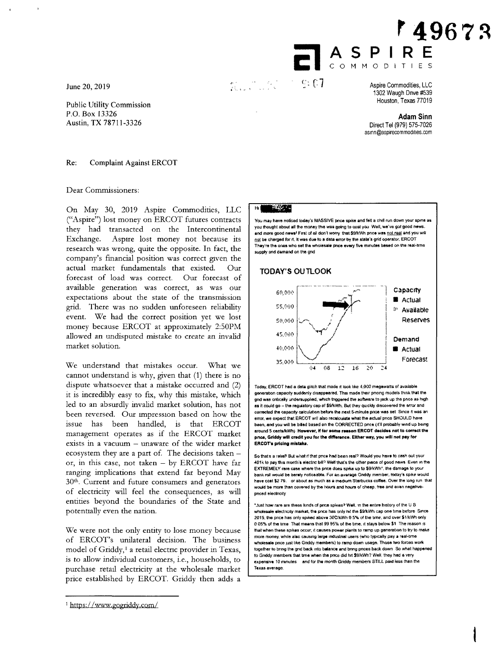June 20, 2019

Public Utility Commission P.O. Box 13326 Austin, TX 78711-3326

**r4967S ASPIRE Com** MODITIES

in i gjir<br>Galaxi  $\sim$  e: e:1

Aspire Commodities, LLC 1302 Waugh Drive #539 Houston, Texas 77019

**Adam Sinn**  Direct Tel (979) 575-7026 asinn@aspirecommodities.com

Re: Complaint Against ERCOT

Dear Commissioners:

On May 30, 2019 Aspire Commodities, LLC ("Aspire") lost money on ERCOT futures contracts they had transacted on the Intercontinental Exchange. Aspire lost money not because its research was wrong, quite the opposite. In fact, the company's financial position was correct given the actual market fundamentals that existed. Our forecast of load was correct. Our forecast of available generation was correct, as was our expectations about the state of the transmission grid. There was no sudden unforeseen reliability event. We had the correct position yet we lost money because ERCOT at approximately 2:50PM allowed an undisputed mistake to create an invalid market solution.

We understand that mistakes occur. What we cannot understand is why, given that (1) there is no dispute whatsoever that a mistake occurred and (2) it is incredibly easy to fix, why this mistake, which led to an absurdly invalid market solution, has not been reversed. Our impression based on how the issue has been handled, is that ERCOT management operates as if the ERCOT market exists in a vacuum — unaware of the wider market ecosystem they are a part of. The decisions taken  $$ or, in this case, not taken — by ERCOT have far ranging implications that extend far beyond May 30th. Current and future consumers and generators of electricity will feel the consequences, as will entities beyond the boundaries of the State and potentially even the nation.

We were not the only entity to lose money because of ERCOT's unilateral decision. The business model of Griddy,<sup>1</sup> a retail electric provider in Texas, is to allow individual customers, i.e., households, to purchase retail electricity at the wholesale market price established by ERCOT. Griddy then adds a

## 1 https:/ /www.gogriddy.com/

## $\overline{\mathcal{M}}_{\mathcal{H}}^{\mathcal{L}}$

You may have noticed today's MASSIVE once spike and felt a chill fen down your spine as you thought about all the money this was going to cost you. Well, we've got good news. and more good news! First of all don't worry that \$9/kWh price was not real and you will not be charged for it. It was due to a data error by the state's grid operator. ERCOT They're the ones who set the wholesale pnce every five minutes based **On me** real-lime supply and demand on the gnd

## **TODAY'S OUTLOOK**



Today, ERCOT had a data glitch that made it look like 4,000 megawatts of available generation capacity suddenly disappeared. This made their pncing models think that the grid was cntically undersupplied, which triggered the software to jack up the price as high as it could go - the regulatory cap of \$9/kWh. But they quickly discovered the arror and corrected the capacity calculation before the next S-minute price was set. Since it was an error, we expect that ERGOT will also recalculate what the actual pnce SHOULD have been, and you will be billed based on the CORRECTED price (if'll probably wind up being around 5 cents/kWh} **However**, if for some reason ERCOT decides not to correct the **once, Gricidy will credit you for the difference. Either way, you will not pay tor ERCOT's pricing mistake.** 

So that's a relief! But what if that pnce had been real? Would you have to cash out your 401k to pay this month's electric bill? Well that's the other piece of good news. Even in the EXTREMELY rare case where the price does spike up to \$9/kWh", the damage to your bank roil would be barely noticeable. For en average Griddy member, todays spike would have cost \$2.79, or about as much as a medium Starbucks coffee. Over the long run that would be more than covered by the hours and hours of cheap, free and even negetivepnced electricity

"just how rare are these kinds of pnce **spikes? Wet** in the entire **history** of the U S wholesale electncity market, the price has only rat the \$9/kWh cap one time before. Since 2015. **the** pnce has only spiked above WC:kWh 0 5% of the erne, and over \$1 /kWh **only**  0.05% of the time That means that 99.95% of the time, it stays below \$1. The reason is Mat when these spikes occur, it causes power plants to ramp up generation to try to **nuke**  more money, while also causing large industrial users (who typically pay a real-time wholesale price just like Griddy members) to ramp down usage. Those two forces work together to bring the grid back into balance and bring prices back down. So what happe to Gnddy members that time when the prxe did hit 39/kWh? Well, they had a very expensive 10 minutes and for the month Griddy members STILL paid less than the **Texas average.**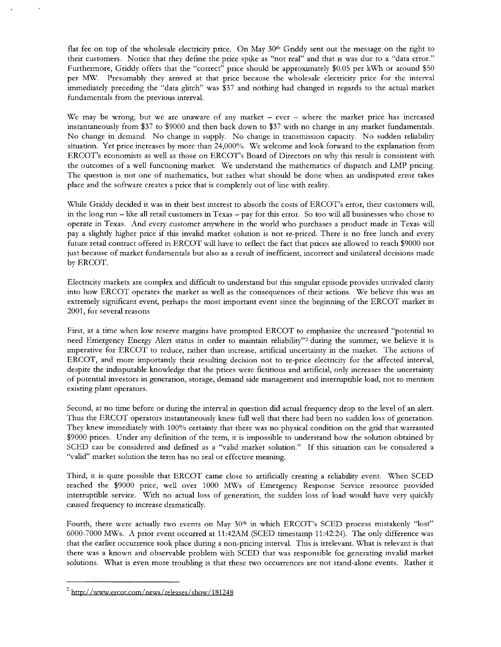flat fee on top of the wholesale electricity price. On May 30<sup>th</sup> Griddy sent out the message on the right to their customers. Notice that they define the price spike as "not real" and that is was due to a "data error." Furthermore, Griddy offers that the "correct" price should be approximately \$0.05 per kWh or around \$50 per MW. Presumably they arrived at that price because the wholesale electricity price for the interval immediately preceding the "data glitch" was \$37 and nothing had changed in regards to the actual market fundamentals from the previous interval.

We may be wrong, but we are unaware of any market  $-$  ever  $-$  where the market price has increased instantaneously from \$37 to \$9000 and then back down to \$37 with no change in any market fundamentals. No change in demand. No change in supply. No change in transmission capacity. No sudden reliability situation. Yet price increases by more than 24,000%. We welcome and look forward to the explanation from ERCOT's economists as well as those on ERCOT's Board of Directors on why this result is consistent with the outcomes of a well functioning market. We understand the mathematics of dispatch and LMP pricing. The question is not one of mathematics, but rather what should be done when an undisputed error takes place and the software creates a price that is completely out of line with reality.

While Griddy decided it was in their best interest to absorb the costs of ERCOT's error, their customers will, in the long run — like all retail customers in Texas — pay for this error. So too will all businesses who chose to operate in Texas. And *every* customer anywhere in the world who purchases a product made in Texas will pay a slightly higher price if this invalid market solution is not re-priced. There is no free lunch and every future retail contract offered in ERCOT will have to reflect the fact that prices are allowed to reach \$9000 not just because of market fundamentals but also as a result of inefficient, incorrect and unilateral decisions made by ERCOT.

Electricity markets are complex and difficult to understand but this singular episode provides unrivaled clarity into how ERCOT operates the market as well as the consequences of their actions. We believe this was an extremely significant event, perhaps the most important event since the beginning of the ERCOT market in 2001, for several reasons

First, at a time when low reserve margins have prompted ERCOT to emphasize the increased "potential to need Emergency Energy Alert status in order to maintain reliability"<sup>2</sup> during the summer, we believe it is imperative for ERCOT to reduce, rather than increase, artificial uncertainty in the market. The actions of ERCOT, and more importantly their resulting decision not to re-price electricity for the affected interval, despite the indisputable knowledge that the prices were fictitious and artificial, only increases the uncertainty of potential investors in generation, storage, demand side management and interruptible load, not to mention existing plant operators.

Second, at no time before or during the interval in question did actual frequency drop to the level of an alert. Thus the ERCOT operators instantaneously knew full well that there had been no sudden loss of generation. They knew immediately with 100% certainty that there was no physical condition on the grid that warranted \$9000 prices. Under any definition of the term, it is impossible to understand how the solution obtained by SCED can be considered and defined as a "valid market solution." If this situation can be considered a "valid" market solution the term has no real or effective meaning.

Third, it is quite possible that ERCOT came close to artificially creating a reliability event. When SCED reached the \$9000 price, well over 1000 MWs of Emergency Response Service resource provided interruptible service. With no actual loss of generation, the sudden loss of load would have very quickly caused frequency to increase dramatically.

Fourth, there were actually two events on May 30<sup>th</sup> in which ERCOT's SCED process mistakenly "lost" 6000-7000 MWs. A prior event occurred at 11:42AM (SCED timestamp 11:42:24). The only difference was that the earlier occurrence took place during a non-pricing interval. This is irrelevant. What is relevant is that there was a known and observable problem with SCED that was responsible for generating invalid market solutions. What is even more troubling is that these two occurrences are not stand-alone events. Rather it

<sup>2</sup>http:/ /www.ercot.com/news /releases /show/181248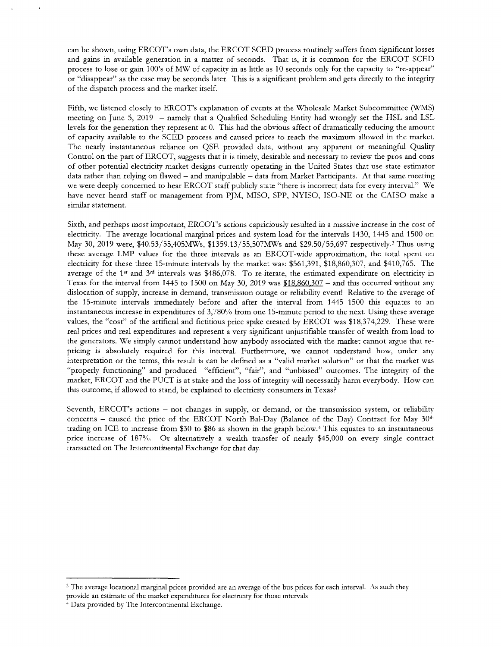can be shown, using ERCOT's own data, the ERCOT SCED process routinely suffers from significant losses and gains in available generation in a matter of seconds. That is, it is common for the ERCOT SCED process to lose or gain 100's of MW of capacity in as little as 10 seconds only for the capacity to "re-appear" or "disappear" as the case may be seconds later. This is a significant problem and gets directly to the integrity of the dispatch process and the market itself.

Fifth, we listened closely to ERCOT's explanation of events at the Wholesale Market Subcommittee (WMS) meeting on June 5, 2019 — namely that a Qualified Scheduling Entity had wrongly set the HSL and LSL levels for the generation they represent at O. This had the obvious affect of dramatically reducing the amount of capacity available to the SCED process and caused prices to reach the maximum allowed in the market. The nearly instantaneous reliance on QSE provided data, without any apparent or meaningful Quality Control on the part of ERCOT, suggests that it is timely, desirable and necessary to review the pros and cons of other potential electricity market designs currently operating in the United States that use state estimator data rather than relying on flawed — and manipulable — data from Market Participants. At that same meeting we were deeply concerned to hear ERCOT staff publicly state "there is incorrect data for every interval." We have never heard staff or management from PJM, MISO, SPP, NYISO, ISO-NE or the CAISO make a similar statement.

Sixth, and perhaps most important, ERCOT's actions capriciously resulted in a massive increase in the cost of electricity. The average locational marginal prices and system load for the intervals 1430, 1445 and 1500 on May 30, 2019 were, \$40.53/55,405MWs, \$1359.13/55,507MWs and \$29.50/55,697 respectively.<sup>3</sup> Thus using these average LMP values for the three intervals as an ERCOT-wide approximation, the total spent on electricity for these three 15-minute intervals by the market was: \$561,391, \$18,860,307, and \$410,765. The average of the 1<sup>st</sup> and 3<sup>rd</sup> intervals was \$486,078. To re-iterate, the estimated expenditure on electricity in Texas for the interval from 1445 to 1500 on May 30, 2019 was  $$18,860,307$  – and this occurred without any dislocation of supply, increase in demand, transmission outage or reliability event! Relative to the average of the 15-minute intervals immediately before and after the interval from 1445-1500 this equates to an instantaneous increase in expenditures of 3,780% from one 15-minute period to the next. Using these average values, the "cost" of the artificial and fictitious price spike created by ERCOT was \$18,374,229. These were real prices and real expenditures and represent a very significant unjustifiable transfer of wealth from load to the generators. We simply cannot understand how anybody associated with the market cannot argue that repricing is absolutely required for this interval. Furthermore, we cannot understand how, under any interpretation or the terms, this result is can be defined as a "valid market solution" or that the market was "properly functioning" and produced "efficient", "fair", and "unbiased" outcomes. The integrity of the market, ERCOT and the PUCT is at stake and the loss of integrity will necessarily harm everybody. How can this outcome, if allowed to stand, be explained to electricity consumers in Texas?

Seventh, ERCOT's actions — not changes in supply, or demand, or the transmission system, or reliability concerns – caused the price of the ERCOT North Bal-Day (Balance of the Day) Contract for May  $30<sup>th</sup>$ trading on ICE to increase from \$30 to \$86 as shown in the graph below.<sup>4</sup> This equates to an instantaneous price increase of 187%. Or alternatively a wealth transfer of nearly \$45,000 on every single contract transacted on The Intercontinental Exchange for that day.

<sup>&</sup>lt;sup>3</sup> The average locational marginal prices provided are an average of the bus prices for each interval. As such they provide an estimate of the market expenditures for electricity for those intervals

<sup>4</sup>Data provided by The Intercontinental Exchange.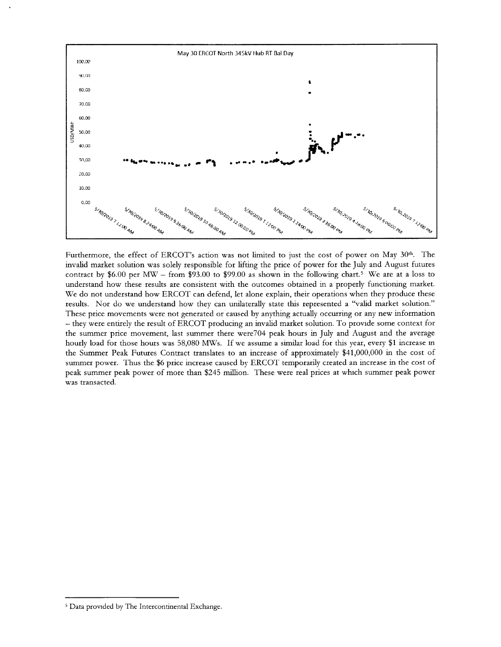

Furthermore, the effect of ERCOT's action was not limited to just the cost of power on May 30<sup>th</sup>. The invalid market solution was solely responsible for lifting the price of power for the July and August futures contract by \$6.00 per MW – from \$93.00 to \$99.00 as shown in the following chart.<sup>5</sup> We are at a loss to understand how these results are consistent with the outcomes obtained in a properly functioning market. We do not understand how ERCOT can defend, let alone explain, their operations when they produce these results. Nor do we understand how they can unilaterally state this represented a "valid market solution." These price movements were not generated or caused by anything actually occurring or any new information — they were entirely the result of ERCOT producing an invalid market solution. To provide some context for the summer price movement, last summer there were704 peak hours in July and August and the average hourly load for those hours was 58,080 MWs. If we assume a similar load for this year, every \$1 increase in the Summer Peak Futures Contract translates to an increase of approximately \$41,000,000 in the cost of summer power. Thus the \$6 price increase caused by ERCOT temporarily created an increase in the cost of peak summer peak power of more than \$245 million. These were real prices at which summer peak power was transacted.

<sup>&</sup>lt;sup>5</sup> Data provided by The Intercontinental Exchange.